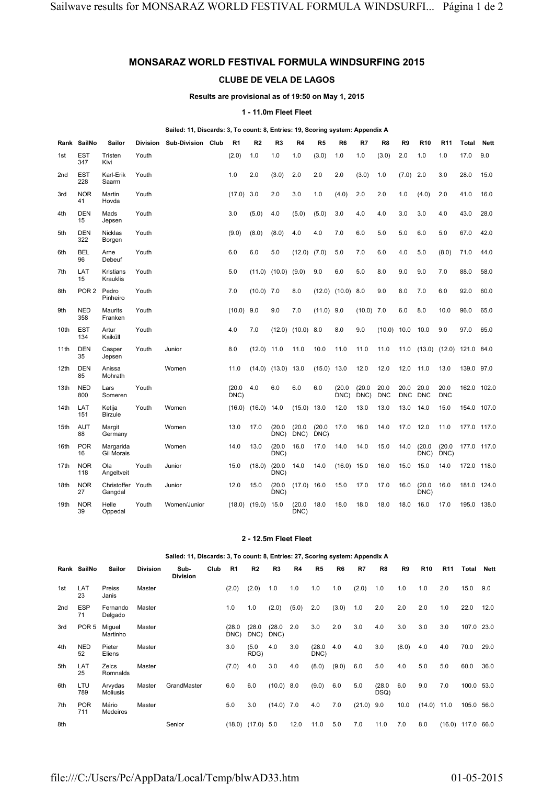# **MONSARAZ WORLD FESTIVAL FORMULA WINDSURFING 2015**

## **CLUBE DE VELA DE LAGOS**

### **Results are provisional as of 19:50 on May 1, 2015**

## **1 - 11.0m Fleet Fleet**

#### **Sailed: 11, Discards: 3, To count: 8, Entries: 19, Scoring system: Appendix A**

|                  | Rank SailNo       | Sailor                              |       | Division Sub-Division Club | R <sub>1</sub> | R <sub>2</sub>    | R <sub>3</sub>         | R <sub>4</sub>        | R <sub>5</sub> | R <sub>6</sub> | R7             | R <sub>8</sub>     | R <sub>9</sub>     | R <sub>10</sub>    | R <sub>11</sub>    | <b>Total</b> | <b>Nett</b> |
|------------------|-------------------|-------------------------------------|-------|----------------------------|----------------|-------------------|------------------------|-----------------------|----------------|----------------|----------------|--------------------|--------------------|--------------------|--------------------|--------------|-------------|
| 1st              | <b>EST</b><br>347 | Tristen<br>Kivi                     | Youth |                            | (2.0)          | 1.0               | 1.0                    | 1.0                   | (3.0)          | 1.0            | 1.0            | (3.0)              | 2.0                | 1.0                | 1.0                | 17.0         | 9.0         |
| 2 <sub>nd</sub>  | <b>EST</b><br>228 | Karl-Erik<br>Saarm                  | Youth |                            | 1.0            | 2.0               | (3.0)                  | 2.0                   | 2.0            | 2.0            | (3.0)          | 1.0                | (7.0)              | 2.0                | 3.0                | 28.0         | 15.0        |
| 3rd              | <b>NOR</b><br>41  | Martin<br>Hovda                     | Youth |                            | (17.0)         | 3.0               | 2.0                    | 3.0                   | 1.0            | (4.0)          | 2.0            | 2.0                | 1.0                | (4.0)              | 2.0                | 41.0         | 16.0        |
| 4th              | <b>DEN</b><br>15  | Mads<br>Jepsen                      | Youth |                            | 3.0            | (5.0)             | 4.0                    | (5.0)                 | (5.0)          | 3.0            | 4.0            | 4.0                | 3.0                | 3.0                | 4.0                | 43.0         | 28.0        |
| 5th              | <b>DEN</b><br>322 | <b>Nicklas</b><br>Borgen            | Youth |                            | (9.0)          | (8.0)             | (8.0)                  | 4.0                   | 4.0            | 7.0            | 6.0            | 5.0                | 5.0                | 6.0                | 5.0                | 67.0         | 42.0        |
| 6th              | <b>BEL</b><br>96  | Arne<br>Debeuf                      | Youth |                            | 6.0            | 6.0               | 5.0                    | (12.0)                | (7.0)          | 5.0            | 7.0            | 6.0                | 4.0                | 5.0                | (8.0)              | 71.0         | 44.0        |
| 7th              | LAT<br>15         | <b>Kristians</b><br><b>Krauklis</b> | Youth |                            | 5.0            | (11.0)            | (10.0)                 | (9.0)                 | 9.0            | 6.0            | 5.0            | 8.0                | 9.0                | 9.0                | 7.0                | 88.0         | 58.0        |
| 8th              | POR <sub>2</sub>  | Pedro<br>Pinheiro                   | Youth |                            | 7.0            | $(10.0)$ 7.0      |                        | 8.0                   | (12.0)         | (10.0)         | 8.0            | 9.0                | 8.0                | 7.0                | 6.0                | 92.0         | 60.0        |
| 9th              | <b>NED</b><br>358 | Maurits<br>Franken                  | Youth |                            | (10.0)         | 9.0               | 9.0                    | 7.0                   | $(11.0)$ 9.0   |                | $(10.0)$ 7.0   |                    | 6.0                | 8.0                | 10.0               | 96.0         | 65.0        |
| 10th             | <b>EST</b><br>134 | Artur<br>Kaiküll                    | Youth |                            | 4.0            | 7.0               |                        | $(12.0)$ $(10.0)$ 8.0 |                | 8.0            | 9.0            | (10.0)             | 10.0               | 10.0               | 9.0                | 97.0         | 65.0        |
| 11th             | <b>DEN</b><br>35  | Casper<br>Jepsen                    | Youth | Junior                     | 8.0            | (12.0)            | 11.0                   | 11.0                  | 10.0           | 11.0           | 11.0           | 11.0               | 11.0               | (13.0)             | (12.0)             | 121.0        | 84.0        |
| 12 <sub>th</sub> | <b>DEN</b><br>85  | Anissa<br>Mohrath                   |       | Women                      | 11.0           |                   | $(14.0)$ $(13.0)$ 13.0 |                       | (15.0)         | 13.0           | 12.0           | 12.0               | 12.0               | 11.0               | 13.0               | 139.0        | 97.0        |
| 13 <sub>th</sub> | <b>NED</b><br>800 | Lars<br>Someren                     | Youth |                            | (20.0)<br>DNC) | 4.0               | 6.0                    | 6.0                   | 6.0            | (20.0)<br>DNC) | (20.0)<br>DNC) | 20.0<br><b>DNC</b> | 20.0<br><b>DNC</b> | 20.0<br><b>DNC</b> | 20.0<br><b>DNC</b> | 162.0 102.0  |             |
| 14th             | LAT<br>151        | Ketija<br><b>Birzule</b>            | Youth | Women                      | (16.0)         | (16.0)            | 14.0                   | $(15.0)$ 13.0         |                | 12.0           | 13.0           | 13.0               | 13.0               | 14.0               | 15.0               | 154.0 107.0  |             |
| 15th             | <b>AUT</b><br>88  | Margit<br>Germany                   |       | Women                      | 13.0           | 17.0              | (20.0)<br>DNC)         | (20.0)<br>DNC)        | (20.0)<br>DNC) | 17.0           | 16.0           | 14.0               | 17.0               | 12.0               | 11.0               | 177.0 117.0  |             |
| 16th             | <b>POR</b><br>16  | Margarida<br><b>Gil Morais</b>      |       | Women                      | 14.0           | 13.0              | (20.0)<br>DNC)         | 16.0                  | 17.0           | 14.0           | 14.0           | 15.0               | 14.0               | (20.0)<br>DNC)     | (20.0)<br>DNC)     | 177.0 117.0  |             |
| 17th             | <b>NOR</b><br>118 | Ola<br>Angeltveit                   | Youth | Junior                     | 15.0           | (18.0)            | (20.0)<br>DNC)         | 14.0                  | 14.0           | (16.0)         | 15.0           | 16.0               | 15.0               | 15.0               | 14.0               | 172.0        | 118.0       |
| 18th             | <b>NOR</b><br>27  | Christoffer Youth<br>Gangdal        |       | Junior                     | 12.0           | 15.0              | (20.0)<br>DNC)         | $(17.0)$ 16.0         |                | 15.0           | 17.0           | 17.0               | 16.0               | (20.0)<br>DNC)     | 16.0               | 181.0        | 124.0       |
| 19th             | <b>NOR</b><br>39  | Helle<br>Oppedal                    | Youth | Women/Junior               |                | $(18.0)$ $(19.0)$ | 15.0                   | (20.0)<br>DNC)        | 18.0           | 18.0           | 18.0           | 18.0               | 18.0               | 16.0               | 17.0               | 195.0        | 138.0       |

### **2 - 12.5m Fleet Fleet**

#### **Sailed: 11, Discards: 3, To count: 8, Entries: 27, Scoring system: Appendix A Rank SailNo Sailor Division Sub-Division Club R1 R2 R3 R4 R5 R6 R7 R8 R9 R10 R11 Total Nett** 1st LAT 23 Preiss Janis Master (2.0) (2.0) 1.0 1.0 1.0 1.0 (2.0) 1.0 1.0 1.0 2.0 15.0 9.0 2nd ESP 71 Fernando Delgado Master 1.0 1.0 (2.0) (5.0) 2.0 (3.0) 1.0 2.0 2.0 2.0 1.0 22.0 12.0 3rd POR 5 Miguel Martinho Master (28.0) DNC) (28.0 DNC)  $(28.0 2.0$ DNC) 2.0 3.0 2.0 3.0 4.0 3.0 3.0 3.0 107.0 23.0 4th NED 52 Pieter Eliens Master 3.0 (5.0 RDG) 4.0 3.0 (28.0 DNC) 4.0 4.0 3.0 (8.0) 4.0 4.0 70.0 29.0 5th LAT 25 Zelcs **Romnalds** Master (7.0) 4.0 3.0 4.0 (8.0) (9.0) 6.0 5.0 4.0 5.0 5.0 60.0 36.0 6th LTU 789 Arvydas Moliusis Master GrandMaster 6.0 6.0 (10.0) 8.0 (9.0) 6.0 5.0 (28.0 DSQ) 6.0 9.0 7.0 100.0 53.0 7th POR 711 Mário Medeiros Master 5.0 3.0 (14.0) 7.0 4.0 7.0 (21.0) 9.0 10.0 (14.0) 11.0 105.0 56.0 8th Senior (18.0) (17.0) 5.0 12.0 11.0 5.0 7.0 11.0 7.0 8.0 (16.0) 117.0 66.0